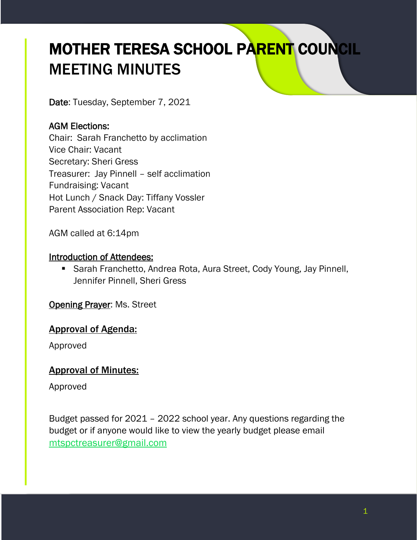# MOTHER TERESA SCHOOL PARENT COUNCIL MEETING MINUTES

Date: Tuesday, September 7, 2021

# AGM Elections:

Chair: Sarah Franchetto by acclimation Vice Chair: Vacant Secretary: Sheri Gress Treasurer: Jay Pinnell – self acclimation Fundraising: Vacant Hot Lunch / Snack Day: Tiffany Vossler Parent Association Rep: Vacant

AGM called at 6:14pm

#### Introduction of Attendees:

■ Sarah Franchetto, Andrea Rota, Aura Street, Cody Young, Jay Pinnell, Jennifer Pinnell, Sheri Gress

**Opening Prayer: Ms. Street** 

#### Approval of Agenda:

Approved

#### Approval of Minutes:

Approved

Budget passed for 2021 – 2022 school year. Any questions regarding the budget or if anyone would like to view the yearly budget please email [mtspctreasurer@gmail.com](mailto:mtspctreasurer@gmail.com)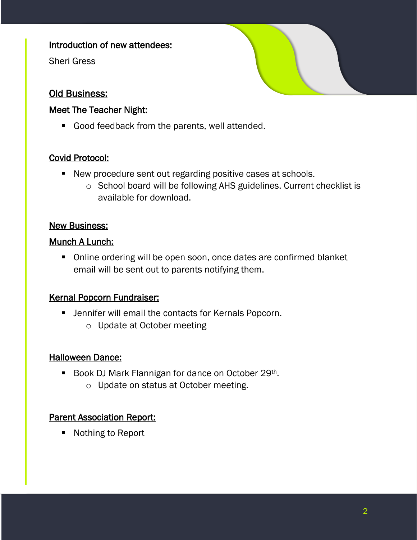#### Introduction of new attendees:

Sheri Gress

# Old Business:

#### Meet The Teacher Night:

■ Good feedback from the parents, well attended.

## Covid Protocol:

- New procedure sent out regarding positive cases at schools.
	- o School board will be following AHS guidelines. Current checklist is available for download.

#### New Business:

#### Munch A Lunch:

■ Online ordering will be open soon, once dates are confirmed blanket email will be sent out to parents notifying them.

#### Kernal Popcorn Fundraiser:

- **E** Jennifer will email the contacts for Kernals Popcorn.
	- o Update at October meeting

#### Halloween Dance:

- Book DJ Mark Flannigan for dance on October 29<sup>th</sup>.
	- o Update on status at October meeting.

#### **Parent Association Report:**

■ Nothing to Report